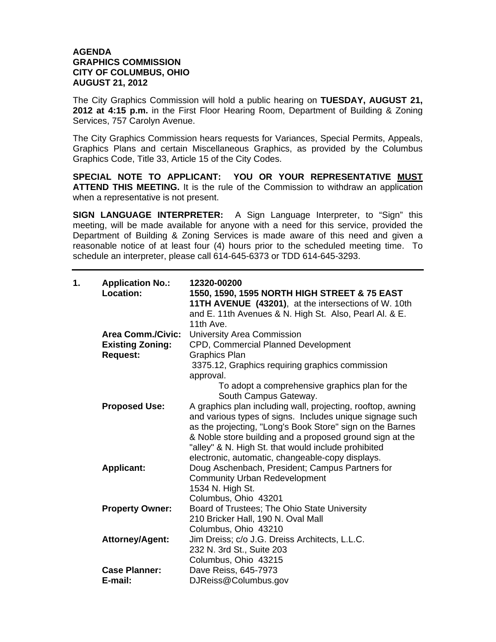## **AGENDA GRAPHICS COMMISSION CITY OF COLUMBUS, OHIO AUGUST 21, 2012**

The City Graphics Commission will hold a public hearing on **TUESDAY, AUGUST 21, 2012 at 4:15 p.m.** in the First Floor Hearing Room, Department of Building & Zoning Services, 757 Carolyn Avenue.

The City Graphics Commission hears requests for Variances, Special Permits, Appeals, Graphics Plans and certain Miscellaneous Graphics, as provided by the Columbus Graphics Code, Title 33, Article 15 of the City Codes.

**SPECIAL NOTE TO APPLICANT: YOU OR YOUR REPRESENTATIVE MUST ATTEND THIS MEETING.** It is the rule of the Commission to withdraw an application when a representative is not present.

**SIGN LANGUAGE INTERPRETER:** A Sign Language Interpreter, to "Sign" this meeting, will be made available for anyone with a need for this service, provided the Department of Building & Zoning Services is made aware of this need and given a reasonable notice of at least four (4) hours prior to the scheduled meeting time. To schedule an interpreter, please call 614-645-6373 or TDD 614-645-3293.

| 1. | <b>Application No.:</b><br>Location: | 12320-00200<br>1550, 1590, 1595 NORTH HIGH STREET & 75 EAST<br>11TH AVENUE (43201), at the intersections of W. 10th<br>and E. 11th Avenues & N. High St. Also, Pearl Al. & E.<br>11th Ave.                                                                                                                 |
|----|--------------------------------------|------------------------------------------------------------------------------------------------------------------------------------------------------------------------------------------------------------------------------------------------------------------------------------------------------------|
|    | <b>Area Comm./Civic:</b>             | University Area Commission                                                                                                                                                                                                                                                                                 |
|    | <b>Existing Zoning:</b>              | CPD, Commercial Planned Development                                                                                                                                                                                                                                                                        |
|    | <b>Request:</b>                      | <b>Graphics Plan</b>                                                                                                                                                                                                                                                                                       |
|    |                                      | 3375.12, Graphics requiring graphics commission<br>approval.                                                                                                                                                                                                                                               |
|    |                                      | To adopt a comprehensive graphics plan for the<br>South Campus Gateway.                                                                                                                                                                                                                                    |
|    | <b>Proposed Use:</b>                 | A graphics plan including wall, projecting, rooftop, awning<br>and various types of signs. Includes unique signage such<br>as the projecting, "Long's Book Store" sign on the Barnes                                                                                                                       |
|    | <b>Applicant:</b>                    | & Noble store building and a proposed ground sign at the<br>"alley" & N. High St. that would include prohibited<br>electronic, automatic, changeable-copy displays.<br>Doug Aschenbach, President; Campus Partners for<br><b>Community Urban Redevelopment</b><br>1534 N. High St.<br>Columbus, Ohio 43201 |
|    | <b>Property Owner:</b>               | Board of Trustees; The Ohio State University<br>210 Bricker Hall, 190 N. Oval Mall                                                                                                                                                                                                                         |
|    | <b>Attorney/Agent:</b>               | Columbus, Ohio 43210<br>Jim Dreiss; c/o J.G. Dreiss Architects, L.L.C.<br>232 N. 3rd St., Suite 203<br>Columbus, Ohio 43215                                                                                                                                                                                |
|    | <b>Case Planner:</b><br>E-mail:      | Dave Reiss, 645-7973<br>DJReiss@Columbus.gov                                                                                                                                                                                                                                                               |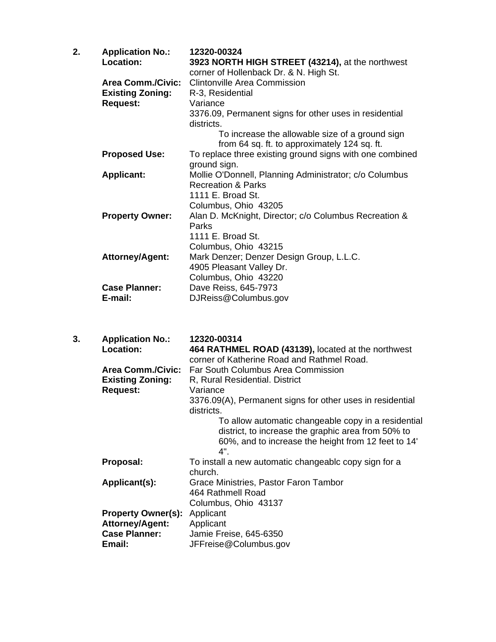| <b>Application No.:</b>  | 12320-00324                                                                                   |
|--------------------------|-----------------------------------------------------------------------------------------------|
| Location:                | 3923 NORTH HIGH STREET (43214), at the northwest                                              |
|                          | corner of Hollenback Dr. & N. High St.                                                        |
| <b>Area Comm./Civic:</b> | <b>Clintonville Area Commission</b>                                                           |
| <b>Existing Zoning:</b>  | R-3, Residential                                                                              |
| <b>Request:</b>          | Variance                                                                                      |
|                          | 3376.09, Permanent signs for other uses in residential                                        |
|                          | districts.                                                                                    |
|                          | To increase the allowable size of a ground sign                                               |
|                          | from 64 sq. ft. to approximately 124 sq. ft.                                                  |
|                          | To replace three existing ground signs with one combined                                      |
|                          | ground sign.                                                                                  |
|                          | Mollie O'Donnell, Planning Administrator; c/o Columbus                                        |
|                          | <b>Recreation &amp; Parks</b>                                                                 |
|                          | 1111 E. Broad St.                                                                             |
|                          | Columbus, Ohio 43205                                                                          |
|                          | Alan D. McKnight, Director; c/o Columbus Recreation &                                         |
|                          | Parks                                                                                         |
|                          | 1111 E. Broad St.                                                                             |
|                          | Columbus, Ohio 43215                                                                          |
|                          | Mark Denzer; Denzer Design Group, L.L.C.                                                      |
|                          | 4905 Pleasant Valley Dr.                                                                      |
|                          | Columbus, Ohio 43220                                                                          |
| <b>Case Planner:</b>     | Dave Reiss, 645-7973                                                                          |
| E-mail:                  | DJReiss@Columbus.gov                                                                          |
|                          | <b>Proposed Use:</b><br><b>Applicant:</b><br><b>Property Owner:</b><br><b>Attorney/Agent:</b> |

| 3. | <b>Application No.:</b>   | 12320-00314                                                                                                                                                             |
|----|---------------------------|-------------------------------------------------------------------------------------------------------------------------------------------------------------------------|
|    | Location:                 | 464 RATHMEL ROAD (43139), located at the northwest                                                                                                                      |
|    |                           | corner of Katherine Road and Rathmel Road.                                                                                                                              |
|    | <b>Area Comm./Civic:</b>  | Far South Columbus Area Commission                                                                                                                                      |
|    | <b>Existing Zoning:</b>   | R, Rural Residential. District                                                                                                                                          |
|    | <b>Request:</b>           | Variance                                                                                                                                                                |
|    |                           | 3376.09(A), Permanent signs for other uses in residential<br>districts.                                                                                                 |
|    |                           | To allow automatic changeable copy in a residential<br>district, to increase the graphic area from 50% to<br>60%, and to increase the height from 12 feet to 14'<br>4". |
|    | Proposal:                 | To install a new automatic changeablc copy sign for a<br>church.                                                                                                        |
|    | Applicant(s):             | Grace Ministries, Pastor Faron Tambor                                                                                                                                   |
|    |                           | 464 Rathmell Road                                                                                                                                                       |
|    |                           | Columbus, Ohio 43137                                                                                                                                                    |
|    | <b>Property Owner(s):</b> | Applicant                                                                                                                                                               |
|    | <b>Attorney/Agent:</b>    | Applicant                                                                                                                                                               |
|    | <b>Case Planner:</b>      | Jamie Freise, 645-6350                                                                                                                                                  |
|    | Email:                    | JFFreise@Columbus.gov                                                                                                                                                   |
|    |                           |                                                                                                                                                                         |